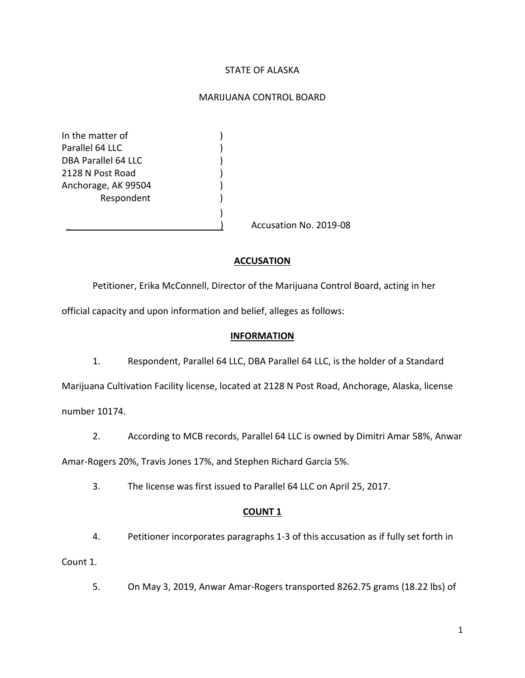#### STATE OF ALASKA

#### MARIJUANA CONTROL BOARD

In the matter of  $\qquad \qquad$ ) Parallel 64 LLC (1999) DBA Parallel 64 LLC (1999) 2128 N Post Road ) Anchorage, AK 99504 (1988) **Respondent** 

Accusation No. 2019-08

#### **ACCUSATION**

Petitioner, Erika McConnell, Director of the Marijuana Control Board, acting in her

official capacity and upon information and belief, alleges as follows:

)

#### **INFORMATION**

1. Respondent, Parallel 64 LLC, DBA Parallel 64 LLC, is the holder of a Standard Marijuana Cultivation Facility license, located at 2128 N Post Road, Anchorage, Alaska, license

number 10174.

2. According to MCB records, Parallel 64 LLC is owned by Dimitri Amar 58%, Anwar

Amar-Rogers 20%, Travis Jones 17%, and Stephen Richard Garcia 5%.

3. The license was first issued to Parallel 64 LLC on April 25, 2017.

#### **COUNT 1**

4. Petitioner incorporates paragraphs 1-3 of this accusation as if fully set forth in

Count 1.

5. On May 3, 2019, Anwar Amar-Rogers transported 8262.75 grams (18.22 lbs) of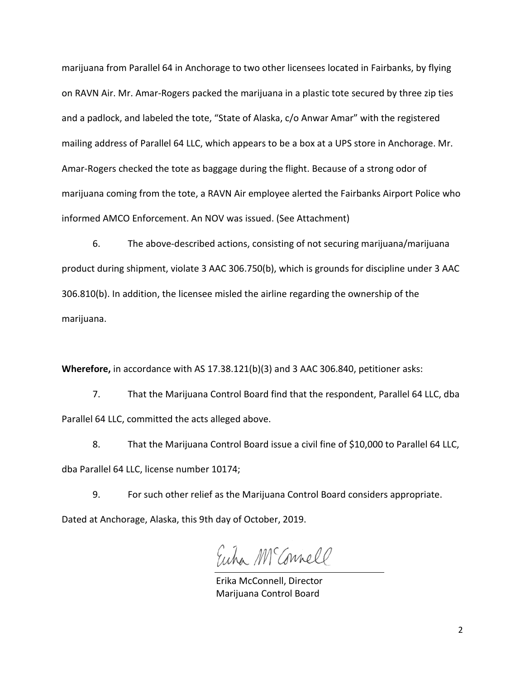marijuana from Parallel 64 in Anchorage to two other licensees located in Fairbanks, by flying on RAVN Air. Mr. Amar-Rogers packed the marijuana in a plastic tote secured by three zip ties and a padlock, and labeled the tote, "State of Alaska, c/o Anwar Amar" with the registered mailing address of Parallel 64 LLC, which appears to be a box at a UPS store in Anchorage. Mr. Amar-Rogers checked the tote as baggage during the flight. Because of a strong odor of marijuana coming from the tote, a RAVN Air employee alerted the Fairbanks Airport Police who informed AMCO Enforcement. An NOV was issued. (See Attachment)

6. The above-described actions, consisting of not securing marijuana/marijuana product during shipment, violate 3 AAC 306.750(b), which is grounds for discipline under 3 AAC 306.810(b). In addition, the licensee misled the airline regarding the ownership of the marijuana.

**Wherefore,** in accordance with AS 17.38.121(b)(3) and 3 AAC 306.840, petitioner asks:

7. That the Marijuana Control Board find that the respondent, Parallel 64 LLC, dba Parallel 64 LLC, committed the acts alleged above.

8. That the Marijuana Control Board issue a civil fine of \$10,000 to Parallel 64 LLC, dba Parallel 64 LLC, license number 10174;

9. For such other relief as the Marijuana Control Board considers appropriate. Dated at Anchorage, Alaska, this 9th day of October, 2019.

Euha M Connell

Erika McConnell, Director Marijuana Control Board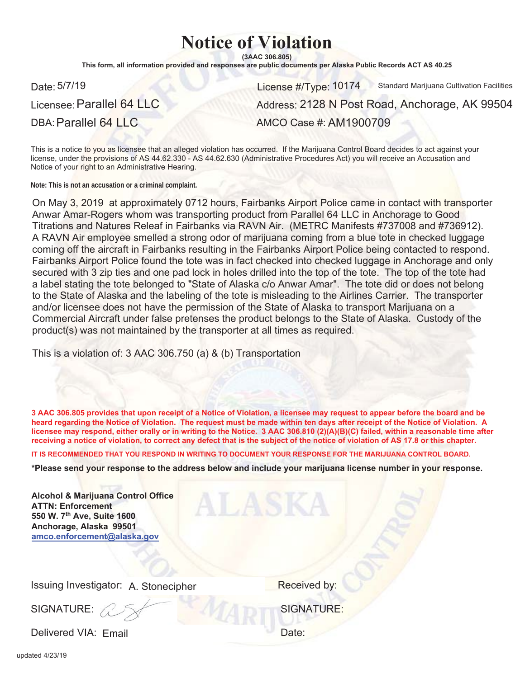# **Notice of Violation**

 $(3AAC306.805)$ 

This form, all information provided and responses are public documents per Alaska Public Records ACT AS 40.25

Licensee: Parallel 64 LLC

Date: License #/Type: 101745/7/19 Standard Marijuana Cultivation Facilities

Address: 2128 N Post Road, Anchorage, AK 99504

DBA: Parallel 64 LLC

AMCO Case #: AM1900709

This is a notice to you as licensee that an alleged violation has occurred. If the Marijuana Control Board decides to act against vour license, under the provisions of AS 44.62.330 - AS 44.62.630 (Administrative Procedures Act) you will receive an Accusation and Notice of your right to an Administrative Hearing.

**Note: This is not an accusation or a criminal complaint.**

On May 3, 2019 at approximately 0712 hours, Fairbanks Airport Police came in contact with transporter Anwar Amar-Rogers whom was transporting product from Parallel 64 LLC in Anchorage to Good Titrations and Natures Releaf in Fairbanks via RAVN Air. (METRC Manifests #737008 and #736912). A RAVN Air employee smelled a strong odor of marijuana coming from a blue tote in checked luggage coming off the aircraft in Fairbanks resulting in the Fairbanks Airport Police being contacted to respond. Fairbanks Airport Police found the tote was in fact checked into checked luggage in Anchorage and only secured with 3 zip ties and one pad lock in holes drilled into the top of the tote. The top of the tote had a label stating the tote belonged to "State of Alaska c/o Anwar Amar". The tote did or does not belong to the State of Alaska and the labeling of the tote is misleading to the Airlines Carrier. The transporter and/or licensee does not have the permission of the State of Alaska to transport Marijuana on a Commercial Aircraft under false pretenses the product belongs to the State of Alaska. Custody of the product(s) was not maintained by the transporter at all times as required.

This is a violation of: 3 AAC 306.750 (a) & (b) Transportation

3 AAC 306.805 provides that upon receipt of a Notice of Violation, a licensee may request to appear before the board and be heard regarding the Notice of Violation. The request must be made within ten days after receipt of the Notice of Violation. A licensee may respond, either orally or in writing to the Notice. 3 AAC 306.810 (2)(A)(B)(C) failed, within a reasonable time after receiving a notice of violation, to correct any defect that is the subject of the notice of violation of AS 17.8 or this chapter.

IT IS RECOMMENDED THAT YOU RESPOND IN WRITING TO DOCUMENT YOUR RESPONSE FOR THE MARIJUANA CONTROL BOARD.

\*Please send your response to the address below and include your marijuana license number in your response.

| <b>Alcohol &amp; Marijuana Control Office</b><br><b>ATTN: Enforcement</b><br>550 W. 7th Ave, Suite 1600<br>Anchorage, Alaska 99501<br>amco.enforcement@alaska.gov |                   |
|-------------------------------------------------------------------------------------------------------------------------------------------------------------------|-------------------|
| Issuing Investigator: A. Stonecipher                                                                                                                              | Received by:      |
| SIGNATURE:                                                                                                                                                        | <b>SIGNATURE:</b> |
| Delivered VIA: Email                                                                                                                                              | Date:             |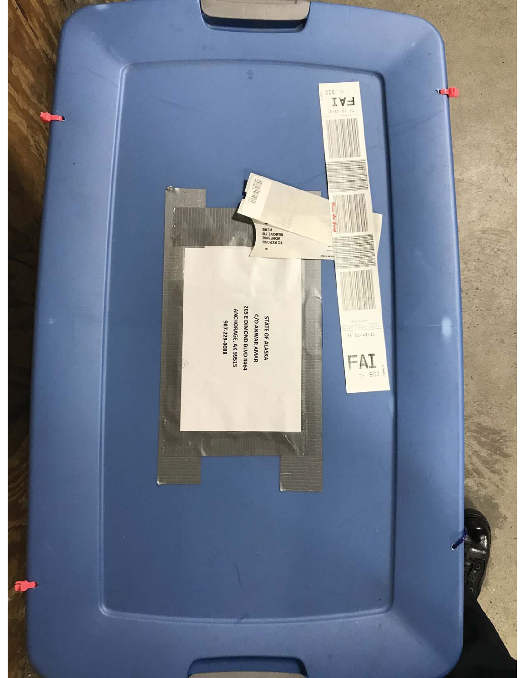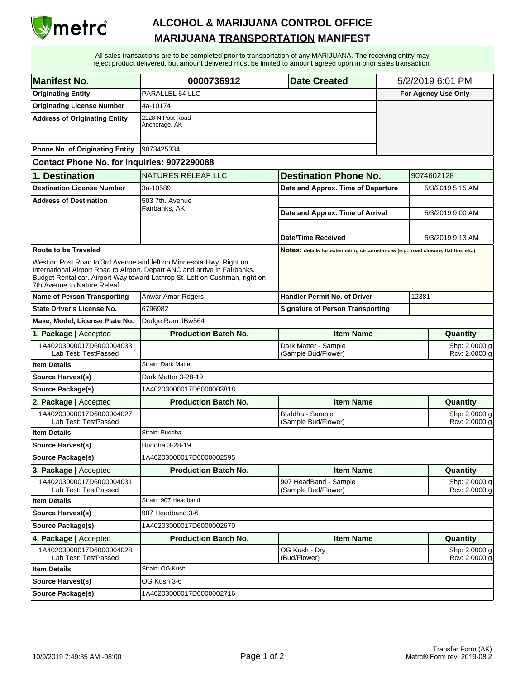

| <b>Manifest No.</b>                              | 0000736912<br><b>Date Created</b>                                                                                                                                                                                                |                                                                                    | 5/2/2019 6:01 PM               |                                |  |
|--------------------------------------------------|----------------------------------------------------------------------------------------------------------------------------------------------------------------------------------------------------------------------------------|------------------------------------------------------------------------------------|--------------------------------|--------------------------------|--|
| <b>Originating Entity</b>                        | PARALLEL 64 LLC                                                                                                                                                                                                                  |                                                                                    | For Agency Use Only            |                                |  |
| <b>Originating License Number</b>                | 4a-10174                                                                                                                                                                                                                         |                                                                                    |                                |                                |  |
| <b>Address of Originating Entity</b>             | 2128 N Post Road<br>Anchorage, AK                                                                                                                                                                                                |                                                                                    |                                |                                |  |
| Phone No. of Originating Entity                  | 9073425334                                                                                                                                                                                                                       |                                                                                    |                                |                                |  |
| Contact Phone No. for Inquiries: 9072290088      |                                                                                                                                                                                                                                  |                                                                                    |                                |                                |  |
| 1. Destination                                   | <b>NATURES RELEAF LLC</b><br><b>Destination Phone No.</b>                                                                                                                                                                        |                                                                                    |                                | 9074602128                     |  |
| <b>Destination License Number</b>                | 3a-10589                                                                                                                                                                                                                         | Date and Approx. Time of Departure                                                 | 5/3/2019 5:15 AM               |                                |  |
| <b>Address of Destination</b>                    | 503 7th. Avenue                                                                                                                                                                                                                  |                                                                                    |                                | 5/3/2019 9:00 AM               |  |
|                                                  | Fairbanks, AK                                                                                                                                                                                                                    | Date and Approx. Time of Arrival                                                   |                                |                                |  |
|                                                  |                                                                                                                                                                                                                                  |                                                                                    |                                |                                |  |
|                                                  |                                                                                                                                                                                                                                  | Date/Time Received                                                                 |                                | 5/3/2019 9:13 AM               |  |
| <b>Route to be Traveled</b>                      |                                                                                                                                                                                                                                  | Notes: details for extenuating circumstances (e.g., road closure, flat tire, etc.) |                                |                                |  |
| 7th Avenue to Nature Releaf.                     | West on Post Road to 3rd Avenue and left on Minnesota Hwy. Right on<br>International Airport Road to Airport. Depart ANC and arrive in Fairbanks.<br>Budget Rental car. Airport Way toward Lathrop St. Left on Cushman, right on |                                                                                    |                                |                                |  |
| <b>Name of Person Transporting</b>               | <b>Anwar Amar-Rogers</b>                                                                                                                                                                                                         | <b>Handler Permit No. of Driver</b>                                                | 12381                          |                                |  |
| <b>State Driver's License No.</b>                | 6796982                                                                                                                                                                                                                          | <b>Signature of Person Transporting</b>                                            |                                |                                |  |
| Make, Model, License Plate No.                   | Dodge Ram JBw564                                                                                                                                                                                                                 |                                                                                    |                                |                                |  |
| 1. Package   Accepted                            | <b>Production Batch No.</b>                                                                                                                                                                                                      | <b>Item Name</b>                                                                   | Quantity                       |                                |  |
| 1A40203000017D6000004033<br>Lab Test: TestPassed |                                                                                                                                                                                                                                  | Dark Matter - Sample<br>(Sample Bud/Flower)                                        | Shp: 2.0000 g<br>Rcv: 2.0000 g |                                |  |
| <b>Item Details</b>                              | Strain: Dark Matter                                                                                                                                                                                                              |                                                                                    |                                |                                |  |
| <b>Source Harvest(s)</b>                         | Dark Matter 3-28-19                                                                                                                                                                                                              |                                                                                    |                                |                                |  |
| <b>Source Package(s)</b>                         | 1A40203000017D6000003818                                                                                                                                                                                                         |                                                                                    |                                |                                |  |
| 2. Package   Accepted                            | <b>Production Batch No.</b>                                                                                                                                                                                                      | <b>Item Name</b>                                                                   |                                | Quantity                       |  |
| 1A40203000017D6000004027<br>Lab Test: TestPassed |                                                                                                                                                                                                                                  | Buddha - Sample<br>(Sample Bud/Flower)                                             | Shp: 2.0000 g<br>Rcv: 2.0000 g |                                |  |
| <b>Item Details</b>                              | Strain: Buddha                                                                                                                                                                                                                   |                                                                                    |                                |                                |  |
| Source Harvest(s)                                | Buddha 3-28-19                                                                                                                                                                                                                   |                                                                                    |                                |                                |  |
| <b>Source Package(s)</b>                         | 1A40203000017D6000002595                                                                                                                                                                                                         |                                                                                    |                                |                                |  |
| 3. Package   Accepted                            | <b>Production Batch No.</b>                                                                                                                                                                                                      | <b>Item Name</b>                                                                   |                                | Quantity                       |  |
| 1A40203000017D6000004031<br>Lab Test: TestPassed |                                                                                                                                                                                                                                  | 907 HeadBand - Sample<br>(Sample Bud/Flower)                                       | Shp: 2.0000 g<br>Rcv: 2.0000 g |                                |  |
| <b>Item Details</b>                              | Strain: 907 Headband                                                                                                                                                                                                             |                                                                                    |                                |                                |  |
| <b>Source Harvest(s)</b>                         | 907 Headband 3-6                                                                                                                                                                                                                 |                                                                                    |                                |                                |  |
| Source Package(s)                                | 1A40203000017D6000002670                                                                                                                                                                                                         |                                                                                    |                                |                                |  |
| 4. Package   Accepted                            | <b>Production Batch No.</b>                                                                                                                                                                                                      | <b>Item Name</b>                                                                   |                                | Quantity                       |  |
| 1A40203000017D6000004028<br>Lab Test: TestPassed |                                                                                                                                                                                                                                  | OG Kush - Dry<br>(Bud/Flower)                                                      |                                | Shp: 2.0000 g<br>Rcv: 2.0000 g |  |
| <b>Item Details</b>                              | Strain: OG Kush                                                                                                                                                                                                                  |                                                                                    |                                |                                |  |
| <b>Source Harvest(s)</b>                         | OG Kush 3-6                                                                                                                                                                                                                      |                                                                                    |                                |                                |  |
| Source Package(s)                                | 1A40203000017D6000002716                                                                                                                                                                                                         |                                                                                    |                                |                                |  |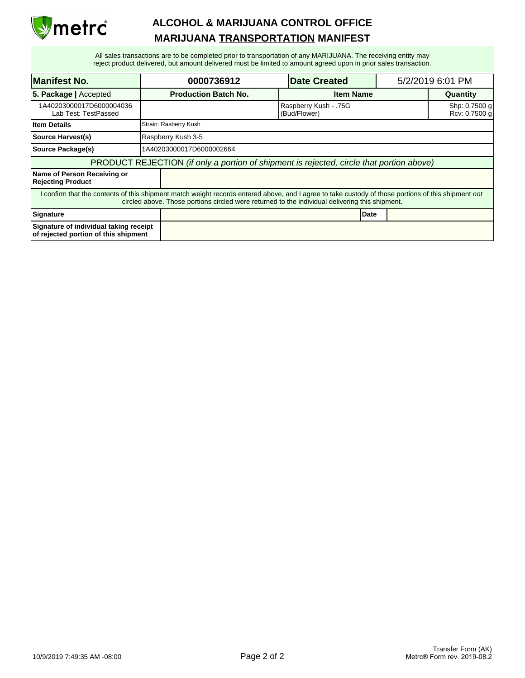

| <b>Manifest No.</b>                                                                                                                                                                                                                                    |                                                                                          | 0000736912                  | <b>Date Created</b>                   |      | 5/2/2019 6:01 PM |                                |
|--------------------------------------------------------------------------------------------------------------------------------------------------------------------------------------------------------------------------------------------------------|------------------------------------------------------------------------------------------|-----------------------------|---------------------------------------|------|------------------|--------------------------------|
| <b>5. Package   Accepted</b>                                                                                                                                                                                                                           |                                                                                          | <b>Production Batch No.</b> | <b>Item Name</b>                      |      | Quantity         |                                |
| 1A40203000017D6000004036<br>Lab Test: TestPassed                                                                                                                                                                                                       |                                                                                          |                             | Raspberry Kush - .75G<br>(Bud/Flower) |      |                  | Shp: 0.7500 g<br>Rcv: 0.7500 g |
| <b>Item Details</b>                                                                                                                                                                                                                                    |                                                                                          | Strain: Rasberry Kush       |                                       |      |                  |                                |
| <b>Source Harvest(s)</b>                                                                                                                                                                                                                               |                                                                                          | Raspberry Kush 3-5          |                                       |      |                  |                                |
| Source Package(s)                                                                                                                                                                                                                                      |                                                                                          | 1A40203000017D6000002664    |                                       |      |                  |                                |
|                                                                                                                                                                                                                                                        | PRODUCT REJECTION (if only a portion of shipment is rejected, circle that portion above) |                             |                                       |      |                  |                                |
| Name of Person Receiving or<br><b>Rejecting Product</b>                                                                                                                                                                                                |                                                                                          |                             |                                       |      |                  |                                |
| I confirm that the contents of this shipment match weight records entered above, and I agree to take custody of those portions of this shipment not<br>circled above. Those portions circled were returned to the individual delivering this shipment. |                                                                                          |                             |                                       |      |                  |                                |
| Signature                                                                                                                                                                                                                                              |                                                                                          |                             |                                       | Date |                  |                                |
| Signature of individual taking receipt<br>of rejected portion of this shipment                                                                                                                                                                         |                                                                                          |                             |                                       |      |                  |                                |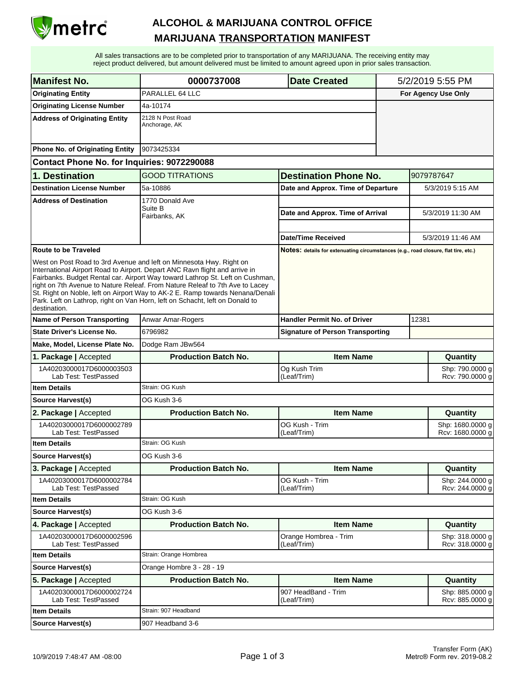

| <b>Manifest No.</b>                              | 0000737008<br><b>Date Created</b>                                                                                                                                                                                                                                                                                                                                                                                                                                                    |                                                                                    | 5/2/2019 5:55 PM    |                                        |  |
|--------------------------------------------------|--------------------------------------------------------------------------------------------------------------------------------------------------------------------------------------------------------------------------------------------------------------------------------------------------------------------------------------------------------------------------------------------------------------------------------------------------------------------------------------|------------------------------------------------------------------------------------|---------------------|----------------------------------------|--|
| <b>Originating Entity</b>                        | PARALLEL 64 LLC                                                                                                                                                                                                                                                                                                                                                                                                                                                                      |                                                                                    | For Agency Use Only |                                        |  |
| <b>Originating License Number</b>                | 4a-10174                                                                                                                                                                                                                                                                                                                                                                                                                                                                             |                                                                                    |                     |                                        |  |
| <b>Address of Originating Entity</b>             | 2128 N Post Road<br>Anchorage, AK                                                                                                                                                                                                                                                                                                                                                                                                                                                    |                                                                                    |                     |                                        |  |
| Phone No. of Originating Entity                  | 9073425334                                                                                                                                                                                                                                                                                                                                                                                                                                                                           |                                                                                    |                     |                                        |  |
| Contact Phone No. for Inquiries: 9072290088      |                                                                                                                                                                                                                                                                                                                                                                                                                                                                                      |                                                                                    |                     |                                        |  |
| 1. Destination                                   | <b>GOOD TITRATIONS</b>                                                                                                                                                                                                                                                                                                                                                                                                                                                               | <b>Destination Phone No.</b>                                                       |                     | 9079787647                             |  |
| <b>Destination License Number</b>                | 5a-10886                                                                                                                                                                                                                                                                                                                                                                                                                                                                             | Date and Approx. Time of Departure                                                 |                     | 5/3/2019 5:15 AM                       |  |
| <b>Address of Destination</b>                    | 1770 Donald Ave<br>Suite B<br>Fairbanks, AK                                                                                                                                                                                                                                                                                                                                                                                                                                          | Date and Approx. Time of Arrival<br>Date/Time Received                             |                     | 5/3/2019 11:30 AM<br>5/3/2019 11:46 AM |  |
| <b>Route to be Traveled</b>                      |                                                                                                                                                                                                                                                                                                                                                                                                                                                                                      | Notes: details for extenuating circumstances (e.g., road closure, flat tire, etc.) |                     |                                        |  |
| destination.                                     | West on Post Road to 3rd Avenue and left on Minnesota Hwy. Right on<br>International Airport Road to Airport. Depart ANC Ravn flight and arrive in<br>Fairbanks. Budget Rental car. Airport Way toward Lathrop St. Left on Cushman,<br>right on 7th Avenue to Nature Releaf. From Nature Releaf to 7th Ave to Lacey<br>St. Right on Noble, left on Airport Way to AK-2 E. Ramp towards Nenana/Denali<br>Park. Left on Lathrop, right on Van Horn, left on Schacht, left on Donald to |                                                                                    |                     |                                        |  |
| <b>Name of Person Transporting</b>               | Anwar Amar-Rogers                                                                                                                                                                                                                                                                                                                                                                                                                                                                    | Handler Permit No. of Driver                                                       |                     | 12381                                  |  |
| <b>State Driver's License No.</b>                | 6796982                                                                                                                                                                                                                                                                                                                                                                                                                                                                              | <b>Signature of Person Transporting</b>                                            |                     |                                        |  |
| Make, Model, License Plate No.                   | Dodge Ram JBw564                                                                                                                                                                                                                                                                                                                                                                                                                                                                     |                                                                                    |                     |                                        |  |
|                                                  |                                                                                                                                                                                                                                                                                                                                                                                                                                                                                      |                                                                                    |                     |                                        |  |
| 1. Package   Accepted                            | <b>Production Batch No.</b>                                                                                                                                                                                                                                                                                                                                                                                                                                                          | <b>Item Name</b>                                                                   |                     | Quantity                               |  |
| 1A40203000017D6000003503<br>Lab Test: TestPassed |                                                                                                                                                                                                                                                                                                                                                                                                                                                                                      | Og Kush Trim<br>(Leaf/Trim)                                                        |                     | Shp: 790.0000 g<br>Rcv: 790.0000 g     |  |
| <b>Item Details</b>                              | Strain: OG Kush                                                                                                                                                                                                                                                                                                                                                                                                                                                                      |                                                                                    |                     |                                        |  |
| <b>Source Harvest(s)</b>                         | OG Kush 3-6                                                                                                                                                                                                                                                                                                                                                                                                                                                                          |                                                                                    |                     |                                        |  |
| 2. Package   Accepted                            | <b>Production Batch No.</b>                                                                                                                                                                                                                                                                                                                                                                                                                                                          | <b>Item Name</b>                                                                   |                     | Quantity                               |  |
| 1A40203000017D6000002789<br>Lab Test: TestPassed |                                                                                                                                                                                                                                                                                                                                                                                                                                                                                      | OG Kush - Trim<br>(Leaf/Trim)                                                      |                     | Shp: 1680.0000 g<br>Rcv: 1680.0000 g   |  |
| <b>Item Details</b>                              | Strain: OG Kush                                                                                                                                                                                                                                                                                                                                                                                                                                                                      |                                                                                    |                     |                                        |  |
| <b>Source Harvest(s)</b>                         | OG Kush 3-6                                                                                                                                                                                                                                                                                                                                                                                                                                                                          |                                                                                    |                     |                                        |  |
| 3. Package   Accepted                            | <b>Production Batch No.</b>                                                                                                                                                                                                                                                                                                                                                                                                                                                          | <b>Item Name</b>                                                                   |                     | Quantity                               |  |
| 1A40203000017D6000002784<br>Lab Test: TestPassed |                                                                                                                                                                                                                                                                                                                                                                                                                                                                                      | OG Kush - Trim<br>(Leaf/Trim)                                                      |                     | Shp: 244.0000 q<br>Rcv: 244.0000 g     |  |
| <b>Item Details</b>                              | Strain: OG Kush                                                                                                                                                                                                                                                                                                                                                                                                                                                                      |                                                                                    |                     |                                        |  |
| Source Harvest(s)                                | OG Kush 3-6                                                                                                                                                                                                                                                                                                                                                                                                                                                                          |                                                                                    |                     |                                        |  |
| 4. Package   Accepted                            | <b>Production Batch No.</b>                                                                                                                                                                                                                                                                                                                                                                                                                                                          | <b>Item Name</b>                                                                   |                     | Quantity                               |  |
| 1A40203000017D6000002596<br>Lab Test: TestPassed |                                                                                                                                                                                                                                                                                                                                                                                                                                                                                      | Orange Hombrea - Trim<br>(Leaf/Trim)                                               |                     | Shp: 318.0000 g<br>Rcv: 318.0000 g     |  |
| <b>Item Details</b>                              | Strain: Orange Hombrea                                                                                                                                                                                                                                                                                                                                                                                                                                                               |                                                                                    |                     |                                        |  |
| Source Harvest(s)                                | Orange Hombre 3 - 28 - 19                                                                                                                                                                                                                                                                                                                                                                                                                                                            |                                                                                    |                     |                                        |  |
| 5. Package   Accepted                            | <b>Production Batch No.</b>                                                                                                                                                                                                                                                                                                                                                                                                                                                          | <b>Item Name</b>                                                                   |                     | Quantity                               |  |
| 1A40203000017D6000002724<br>Lab Test: TestPassed |                                                                                                                                                                                                                                                                                                                                                                                                                                                                                      | 907 HeadBand - Trim<br>(Leaf/Trim)                                                 |                     | Shp: 885.0000 g<br>Rcv: 885.0000 g     |  |
| <b>Item Details</b>                              | Strain: 907 Headband                                                                                                                                                                                                                                                                                                                                                                                                                                                                 |                                                                                    |                     |                                        |  |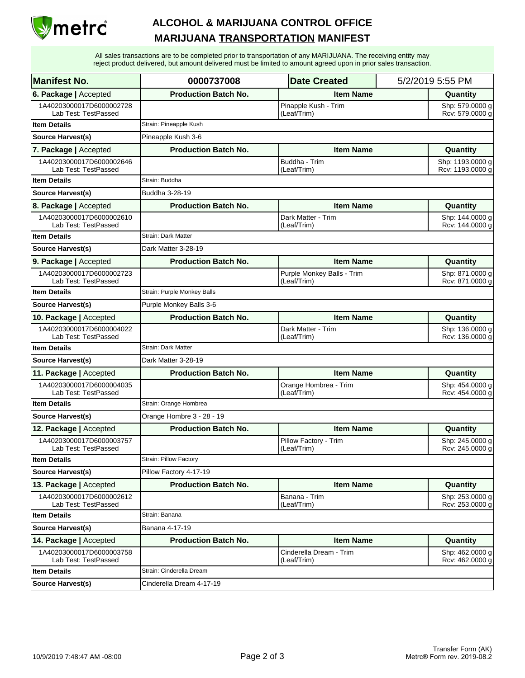

| <b>Manifest No.</b>                              | 0000737008                  | <b>Date Created</b>                                                          |          | 5/2/2019 5:55 PM                     |  |
|--------------------------------------------------|-----------------------------|------------------------------------------------------------------------------|----------|--------------------------------------|--|
| 6. Package   Accepted                            | <b>Production Batch No.</b> | <b>Item Name</b>                                                             |          | Quantity                             |  |
| 1A40203000017D6000002728<br>Lab Test: TestPassed |                             | Pinapple Kush - Trim<br>(Leaf/Trim)                                          |          | Shp: 579.0000 g<br>Rcv: 579.0000 g   |  |
| <b>Item Details</b>                              | Strain: Pineapple Kush      |                                                                              |          |                                      |  |
| <b>Source Harvest(s)</b>                         | Pineapple Kush 3-6          |                                                                              |          |                                      |  |
| 7. Package   Accepted                            | <b>Production Batch No.</b> | <b>Item Name</b>                                                             |          | Quantity                             |  |
| 1A40203000017D6000002646<br>Lab Test: TestPassed |                             | Buddha - Trim<br>(Leaf/Trim)                                                 |          | Shp: 1193.0000 g<br>Rcv: 1193.0000 g |  |
| <b>Item Details</b>                              | Strain: Buddha              |                                                                              |          |                                      |  |
| Source Harvest(s)                                | Buddha 3-28-19              |                                                                              |          |                                      |  |
| 8. Package   Accepted                            | <b>Production Batch No.</b> | <b>Item Name</b>                                                             |          | Quantity                             |  |
| 1A40203000017D6000002610<br>Lab Test: TestPassed |                             | Dark Matter - Trim<br>(Leaf/Trim)                                            |          | Shp: 144.0000 g<br>Rcv: 144.0000 g   |  |
| <b>Item Details</b>                              | <b>Strain: Dark Matter</b>  |                                                                              |          |                                      |  |
| Source Harvest(s)                                | Dark Matter 3-28-19         |                                                                              |          |                                      |  |
| 9. Package   Accepted                            | <b>Production Batch No.</b> | <b>Item Name</b>                                                             |          | Quantity                             |  |
| 1A40203000017D6000002723<br>Lab Test: TestPassed |                             | Purple Monkey Balls - Trim<br>(Leaf/Trim)                                    |          | Shp: 871.0000 g<br>Rcv: 871.0000 g   |  |
| <b>Item Details</b>                              | Strain: Purple Monkey Balls |                                                                              |          |                                      |  |
| Source Harvest(s)                                | Purple Monkey Balls 3-6     |                                                                              |          |                                      |  |
| 10. Package   Accepted                           | <b>Production Batch No.</b> | <b>Item Name</b>                                                             |          | Quantity                             |  |
| 1A40203000017D6000004022<br>Lab Test: TestPassed |                             | Dark Matter - Trim<br>(Leaf/Trim)                                            |          | Shp: 136.0000 g<br>Rcv: 136.0000 g   |  |
| <b>Item Details</b>                              | <b>Strain: Dark Matter</b>  |                                                                              |          |                                      |  |
| Source Harvest(s)                                | Dark Matter 3-28-19         |                                                                              |          |                                      |  |
| 11. Package   Accepted                           | <b>Production Batch No.</b> | <b>Item Name</b>                                                             |          | Quantity                             |  |
| 1A40203000017D6000004035<br>Lab Test: TestPassed |                             | Orange Hombrea - Trim<br>(Leaf/Trim)                                         |          | Shp: 454.0000 g<br>Rcv: 454.0000 g   |  |
| <b>Item Details</b>                              | Strain: Orange Hombrea      |                                                                              |          |                                      |  |
| Source Harvest(s)                                | Orange Hombre 3 - 28 - 19   |                                                                              |          |                                      |  |
| 12. Package   Accepted                           | <b>Production Batch No.</b> | <b>Item Name</b>                                                             |          | Quantity                             |  |
| 1A40203000017D6000003757<br>Lab Test: TestPassed |                             | Pillow Factory - Trim<br>(Leaf/Trim)                                         |          | Shp: 245.0000 g<br>Rcv: 245.0000 g   |  |
| <b>Item Details</b>                              | Strain: Pillow Factory      |                                                                              |          |                                      |  |
| <b>Source Harvest(s)</b>                         | Pillow Factory 4-17-19      |                                                                              |          |                                      |  |
| 13. Package   Accepted                           | <b>Production Batch No.</b> | <b>Item Name</b>                                                             |          | Quantity                             |  |
| 1A40203000017D6000002612<br>Lab Test: TestPassed |                             | Banana - Trim<br>(Leaf/Trim)                                                 |          | Shp: 253.0000 g<br>Rcv: 253.0000 g   |  |
| <b>Item Details</b>                              | Strain: Banana              |                                                                              |          |                                      |  |
| <b>Source Harvest(s)</b>                         | Banana 4-17-19              |                                                                              |          |                                      |  |
| 14. Package   Accepted                           | <b>Production Batch No.</b> | <b>Item Name</b>                                                             | Quantity |                                      |  |
| 1A40203000017D6000003758<br>Lab Test: TestPassed |                             | Cinderella Dream - Trim<br>Shp: 462.0000 g<br>Rcv: 462.0000 g<br>(Leaf/Trim) |          |                                      |  |
| <b>Item Details</b>                              | Strain: Cinderella Dream    |                                                                              |          |                                      |  |
| <b>Source Harvest(s)</b>                         | Cinderella Dream 4-17-19    |                                                                              |          |                                      |  |